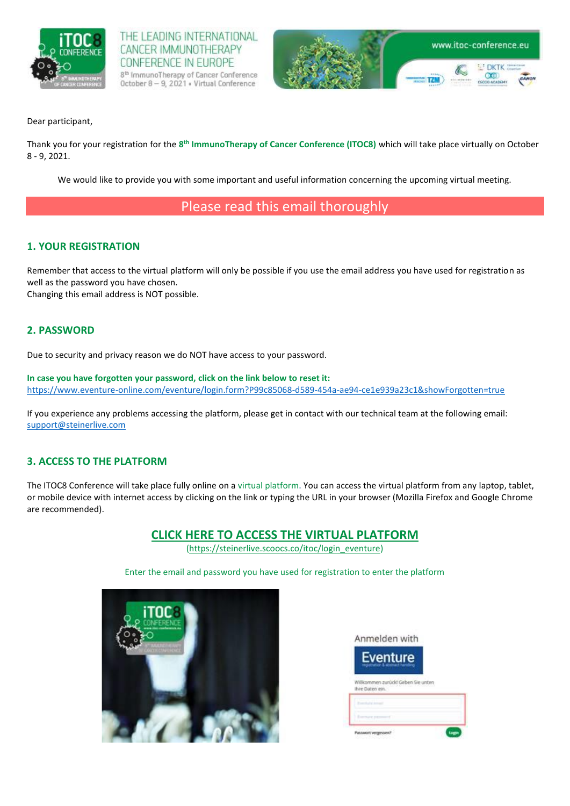

THE LEADING INTERNATIONAL CANCER IMMUNOTHERAPY CONFERENCE IN EUROPE 8<sup>th</sup> ImmunoTherapy of Cancer Conference October 8 - 9, 2021 . Virtual Conference



Dear participant,

Thank you for your registration for the **8 th ImmunoTherapy of Cancer Conference (ITOC8)** which will take place virtually on October 8 - 9, 2021.

We would like to provide you with some important and useful information concerning the upcoming virtual meeting.

# Please read this email thoroughly

# **1. YOUR REGISTRATION**

Remember that access to the virtual platform will only be possible if you use the email address you have used for registration as well as the password you have chosen. Changing this email address is NOT possible.

### **2. PASSWORD**

Due to security and privacy reason we do NOT have access to your password.

**In case you have forgotten your password, click on the link below to reset it:**  <https://www.eventure-online.com/eventure/login.form?P99c85068-d589-454a-ae94-ce1e939a23c1&showForgotten=true>

If you experience any problems accessing the platform, please get in contact with our technical team at the following email: [support@steinerlive.com](mailto:support@steinerlive.com)

### **3. ACCESS TO THE PLATFORM**

The ITOC8 Conference will take place fully online on a virtual platform. You can access the virtual platform from any laptop, tablet, or mobile device with internet access by clicking on the link or typing the URL in your browser (Mozilla Firefox and Google Chrome are recommended).

# **[CLICK HERE TO ACCESS THE](https://steinerlive.scoocs.co/itoc/login_eventure) VIRTUAL PLATFORM**

[\(https://steinerlive.scoocs.co/itoc/login\\_eventure\)](https://steinerlive.scoocs.co/itoc/login_eventure)

Enter the email and password you have used for registration to enter the platform

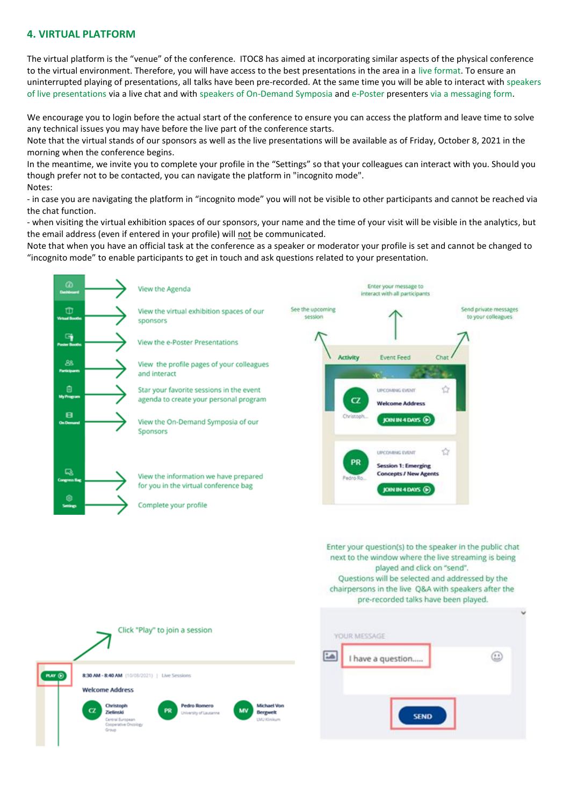#### **4. VIRTUAL PLATFORM**

The virtual platform is the "venue" of the conference. ITOC8 has aimed at incorporating similar aspects of the physical conference to the virtual environment. Therefore, you will have access to the best presentations in the area in a live format. To ensure an uninterrupted playing of presentations, all talks have been pre-recorded. At the same time you will be able to interact with speakers of live presentations via a live chat and with speakers of On-Demand Symposia and e-Poster presenters via a messaging form.

We encourage you to login before the actual start of the conference to ensure you can access the platform and leave time to solve any technical issues you may have before the live part of the conference starts.

Note that the virtual stands of our sponsors as well as the live presentations will be available as of Friday, October 8, 2021 in the morning when the conference begins.

In the meantime, we invite you to complete your profile in the "Settings" so that your colleagues can interact with you. Should you though prefer not to be contacted, you can navigate the platform in "incognito mode". Notes:

- in case you are navigating the platform in "incognito mode" you will not be visible to other participants and cannot be reached via the chat function.

- when visiting the virtual exhibition spaces of our sponsors, your name and the time of your visit will be visible in the analytics, but the email address (even if entered in your profile) will not be communicated.

Note that when you have an official task at the conference as a speaker or moderator your profile is set and cannot be changed to "incognito mode" to enable participants to get in touch and ask questions related to your presentation.

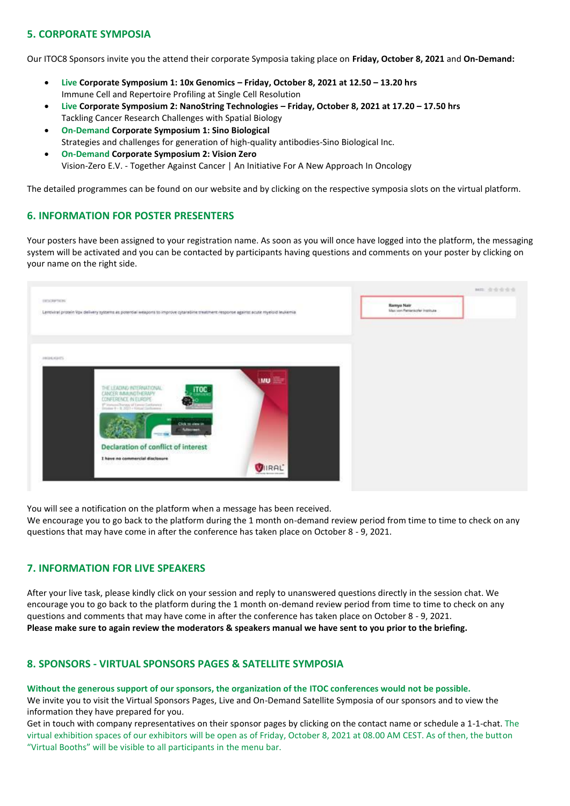# **5. CORPORATE SYMPOSIA**

Our ITOC8 Sponsors invite you the attend their corporate Symposia taking place on **Friday, October 8, 2021** and **On-Demand:**

- **Live Corporate Symposium 1: 10x Genomics – Friday, October 8, 2021 at 12.50 – 13.20 hrs** Immune Cell and Repertoire Profiling at Single Cell Resolution
- **Live Corporate Symposium 2: NanoString Technologies – Friday, October 8, 2021 at 17.20 – 17.50 hrs** Tackling Cancer Research Challenges with Spatial Biology
- **On-Demand Corporate Symposium 1: Sino Biological** Strategies and challenges for generation of high-quality antibodies-Sino Biological Inc.
- **On-Demand Corporate Symposium 2: Vision Zero** Vision-Zero E.V. - Together Against Cancer | An Initiative For A New Approach In Oncology

The detailed programmes can be foun[d on our website](https://www.eano.eu/eano2021/sponsors/corporatesymposia/) and by clicking on the respective symposia slots on the virtual platform.

### **6. INFORMATION FOR POSTER PRESENTERS**

Your posters have been assigned to your registration name. As soon as you will once have logged into the platform, the messaging system will be activated and you can be contacted by participants having questions and comments on your poster by clicking on your name on the right side.

| EXCAMPTADES                                                                                                                          |                                                                                  |            | <b>Ramya Nair</b>             |  |
|--------------------------------------------------------------------------------------------------------------------------------------|----------------------------------------------------------------------------------|------------|-------------------------------|--|
| Lentwiral protein Vpx delivery systems as potential weapons to improve cytarabine treatment response against acute myeloid leukemia. |                                                                                  |            | Max von Pettenkofer Institute |  |
|                                                                                                                                      |                                                                                  |            |                               |  |
|                                                                                                                                      |                                                                                  |            |                               |  |
|                                                                                                                                      |                                                                                  |            |                               |  |
| ABORDED TO                                                                                                                           |                                                                                  |            |                               |  |
|                                                                                                                                      |                                                                                  |            |                               |  |
|                                                                                                                                      |                                                                                  | <b>IMU</b> |                               |  |
|                                                                                                                                      | THE LEADING INTERNATIONAL.<br>iTOC:                                              |            |                               |  |
|                                                                                                                                      | CANCER IMMUNOTHERAPY<br>CONFERENCE IN EUROPE                                     |            |                               |  |
|                                                                                                                                      | (* Horsen-Therapy of Europe Canhinens)<br>Jossim R - R. 2003 - Virtual Canhinens |            |                               |  |
|                                                                                                                                      | <b>STREET</b>                                                                    |            |                               |  |
|                                                                                                                                      | Click to view in<br><b>Autocreen</b>                                             |            |                               |  |
|                                                                                                                                      | $-110$                                                                           |            |                               |  |
|                                                                                                                                      | Declaration of conflict of interest                                              |            |                               |  |
|                                                                                                                                      | I have no commercial disclosure                                                  |            |                               |  |
|                                                                                                                                      |                                                                                  | VIRAL      |                               |  |
|                                                                                                                                      |                                                                                  |            |                               |  |

You will see a notification on the platform when a message has been received.

We encourage you to go back to the platform during the 1 month on-demand review period from time to time to check on any questions that may have come in after the conference has taken place on October 8 - 9, 2021.

### **7. INFORMATION FOR LIVE SPEAKERS**

After your live task, please kindly click on your session and reply to unanswered questions directly in the session chat. We encourage you to go back to the platform during the 1 month on-demand review period from time to time to check on any questions and comments that may have come in after the conference has taken place on October 8 - 9, 2021. **Please make sure to again review the moderators & speakers manual we have sent to you prior to the briefing.**

### **8. SPONSORS - VIRTUAL SPONSORS PAGES & SATELLITE SYMPOSIA**

**Without the generous support of our sponsors, the organization of the ITOC conferences would not be possible.**  We invite you to visit the Virtual Sponsors Pages, Live and On-Demand Satellite Symposia of our sponsors and to view the information they have prepared for you.

Get in touch with company representatives on their sponsor pages by clicking on the contact name or schedule a 1-1-chat. The virtual exhibition spaces of our exhibitors will be open as of Friday, October 8, 2021 at 08.00 AM CEST. As of then, the button "Virtual Booths" will be visible to all participants in the menu bar.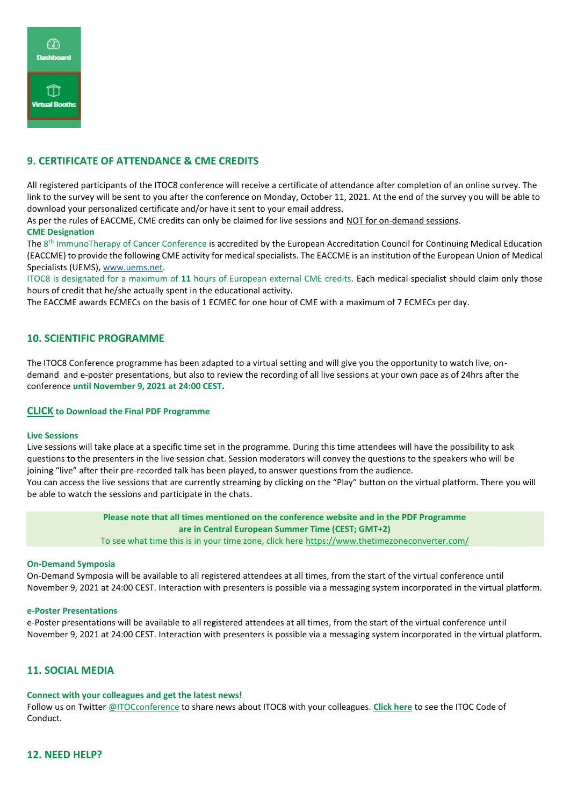

# **9. CERTIFICATE OF ATTENDANCE & CME CREDITS**

All registered participants of the ITOC8 conference will receive a certificate of attendance after completion of an online survey. The link to the survey will be sent to you after the conference on Monday, October 11, 2021. At the end of the survey you will be able to download your personalized certificate and/or have it sent to your email address.

As per the rules of EACCME, CME credits can only be claimed for live sessions and NOT for on-demand sessions. **CME Designation**

The 8<sup>th</sup> ImmunoTherapy of Cancer Conference is accredited by the European Accreditation Council for Continuing Medical Education (EACCME) to provide the following CME activity for medical specialists. The EACCME is an institution of the European Union of Medical Specialists (UEMS), [www.uems.net.](http://www.uems.net/)

ITOC8 is designated for a maximum of **11** hours of European external CME credits. Each medical specialist should claim only those hours of credit that he/she actually spent in the educational activity.

The EACCME awards ECMECs on the basis of 1 ECMEC for one hour of CME with a maximum of 7 ECMECs per day.

#### **10. SCIENTIFIC PROGRAMME**

The ITOC8 Conference programme has been adapted to a virtual setting and will give you the opportunity to watch live, ondemand and e-poster presentations, but also to review the recording of all live sessions at your own pace as of 24hrs after the conference **until November 9, 2021 at 24:00 CEST.**

#### **[CLICK](https://9b2b8e85-316a-4346-8773-f689fb82655f.filesusr.com/ugd/d13fe1_b53f562f1c88492db109d0d70454950a.pdf) to Download the Final PDF Programme**

#### **Live Sessions**

Live sessions will take place at a specific time set in the programme. During this time attendees will have the possibility to ask questions to the presenters in the live session chat. Session moderators will convey the questions to the speakers who will be joining "live" after their pre-recorded talk has been played, to answer questions from the audience.

You can access the live sessions that are currently streaming by clicking on the "Play" button on the virtual platform. There you will be able to watch the sessions and participate in the chats.

> **Please note that all times mentioned on the conference website and in the PDF Programme are in Central European Summer Time (CEST; GMT+2)** To see what time this is in your time zone, click here<https://www.thetimezoneconverter.com/>

#### **On-Demand Symposia**

On-Demand Symposia will be available to all registered attendees at all times, from the start of the virtual conference until November 9, 2021 at 24:00 CEST. Interaction with presenters is possible via a messaging system incorporated in the virtual platform.

#### **e-Poster Presentations**

e-Poster presentations will be available to all registered attendees at all times, from the start of the virtual conference until November 9, 2021 at 24:00 CEST. Interaction with presenters is possible via a messaging system incorporated in the virtual platform.

#### **11. SOCIAL MEDIA**

#### **Connect with your colleagues and get the latest news!**

Follow us on Twitter [@ITOCconference](https://twitter.com/ITOCconference) to share news about ITOC8 with your colleagues. **[Click here](https://www.itoc-conference.eu/code-of-conduct)** to see the ITOC Code of Conduct.

#### **12. NEED HELP?**